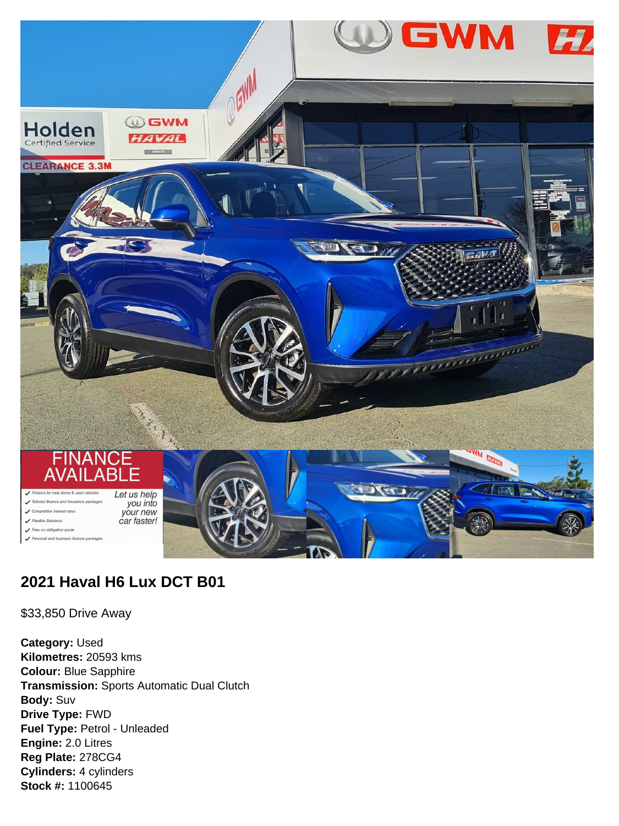

# **2021 Haval H6 Lux DCT B01**

\$33,850 Drive Away

**Category:** Used **Kilometres:** 20593 kms **Colour:** Blue Sapphire **Transmission:** Sports Automatic Dual Clutch **Body:** Suv **Drive Type:** FWD **Fuel Type:** Petrol - Unleaded **Engine:** 2.0 Litres **Reg Plate:** 278CG4 **Cylinders:** 4 cylinders **Stock #:** 1100645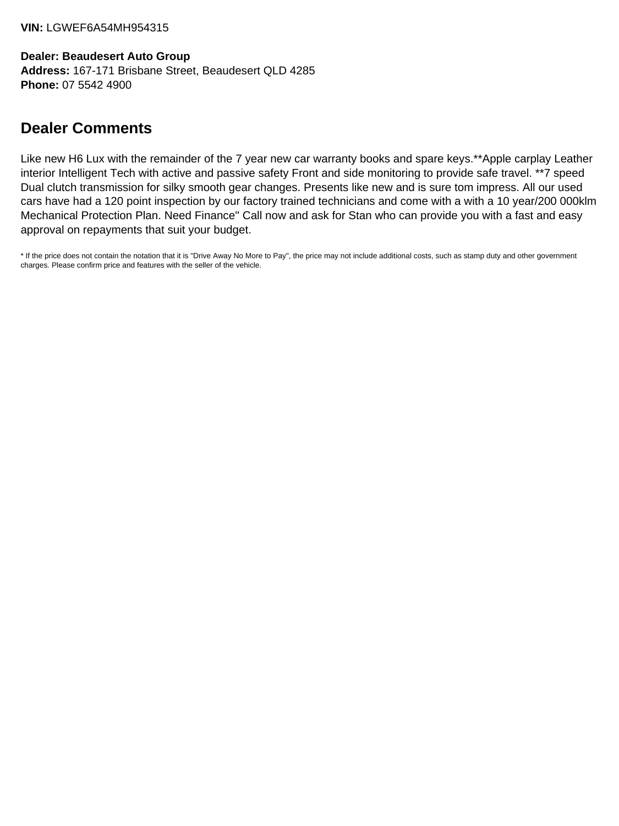**Dealer: Beaudesert Auto Group Address:** 167-171 Brisbane Street, Beaudesert QLD 4285 **Phone:** 07 5542 4900

# **Dealer Comments**

Like new H6 Lux with the remainder of the 7 year new car warranty books and spare keys.\*\*Apple carplay Leather interior Intelligent Tech with active and passive safety Front and side monitoring to provide safe travel. \*\*7 speed Dual clutch transmission for silky smooth gear changes. Presents like new and is sure tom impress. All our used cars have had a 120 point inspection by our factory trained technicians and come with a with a 10 year/200 000klm Mechanical Protection Plan. Need Finance'' Call now and ask for Stan who can provide you with a fast and easy approval on repayments that suit your budget.

\* If the price does not contain the notation that it is "Drive Away No More to Pay", the price may not include additional costs, such as stamp duty and other government charges. Please confirm price and features with the seller of the vehicle.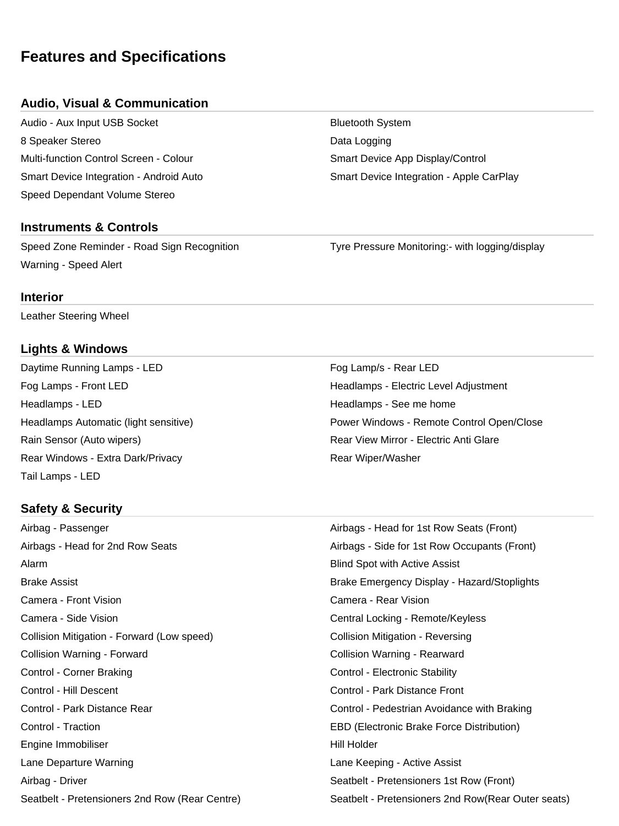# **Features and Specifications**

#### **Audio, Visual & Communication**

Audio - Aux Input USB Socket **Bluetooth System** Bluetooth System 8 Speaker Stereo **Data Logging Branch** Base Controller and Data Logging Multi-function Control Screen - Colour Superson Smart Device App Display/Control Speed Dependant Volume Stereo

#### **Instruments & Controls**

Speed Zone Reminder - Road Sign Recognition Tyre Pressure Monitoring:- with logging/display Warning - Speed Alert

**Interior**

Leather Steering Wheel

#### **Lights & Windows**

Daytime Running Lamps - LED For Contract the Running Lamps - LED Fog Lamp/s - Rear LED Fog Lamps - Front LED Headlamps - Electric Level Adjustment Headlamps - LED **Headlamps - See me home** Headlamps - See me home Rain Sensor (Auto wipers) The Common Sensitive Common Sensitive Common Sensitive Common Sensitive Common Sensitive Common Sensitive Common Sensitive Common Sensitive Common Sensitive Common Sensitive Common Sensitive Commo Rear Windows - Extra Dark/Privacy **Rear Windows** - Extra Dark/Privacy Tail Lamps - LED

# Headlamps Automatic (light sensitive) Power Windows - Remote Control Open/Close

#### **Safety & Security**

Airbag - Passenger **Airbags - Head for 1st Row Seats (Front)** Airbags - Head for 2nd Row Seats Airbags - Side for 1st Row Occupants (Front) Alarm **Blind Spot with Active Assist Alarm Blind Spot with Active Assist** Brake Assist **Brake Emergency Display - Hazard/Stoplights** Camera - Front Vision Camera - Rear Vision Camera - Side Vision Central Locking - Remote/Keyless Collision Mitigation - Forward (Low speed) Collision Mitigation - Reversing Collision Warning - Forward Collision Warning - Rearward Control - Corner Braking Control - Electronic Stability Control - Hill Descent Control - Park Distance Front Control - Park Distance Rear Control - Pedestrian Avoidance with Braking Control - Traction EBD (Electronic Brake Force Distribution) Engine Immobiliser North Communication and the Hill Holder Lane Departure Warning **Lane Active Assist** Lane Keeping - Active Assist Airbag - Driver Seatbelt - Pretensioners 1st Row (Front) Seatbelt - Pretensioners 2nd Row (Rear Centre) Seatbelt - Pretensioners 2nd Row(Rear Outer seats)

Smart Device Integration - Android Auto **Smart Device Integration - Apple CarPlay**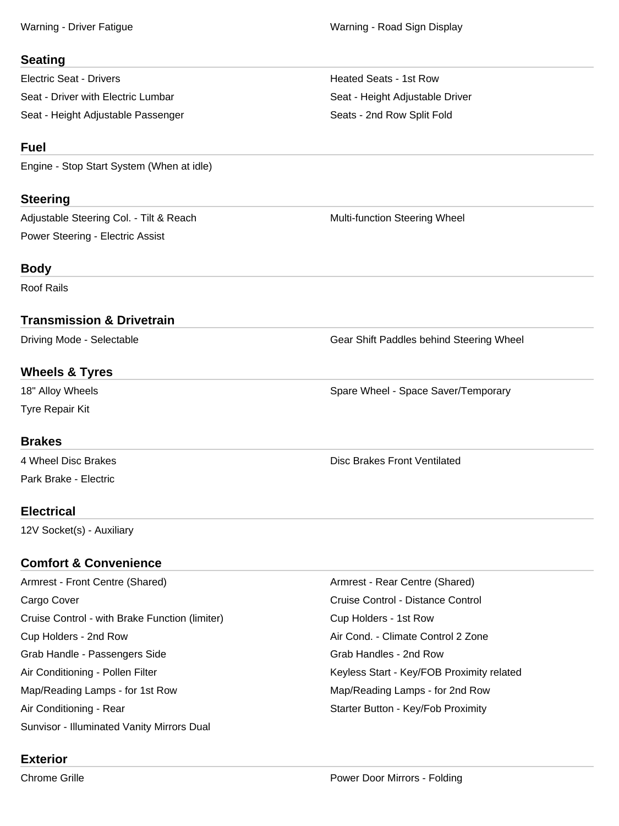#### **Seating**

Electric Seat - Drivers Heated Seats - 1st Row Seat - Driver with Electric Lumbar Seat - Height Adjustable Driver Seat - Height Adjustable Passenger Seats - 2nd Row Split Fold

### **Fuel**

Engine - Stop Start System (When at idle)

### **Steering**

Adjustable Steering Col. - Tilt & Reach Multi-function Steering Wheel Power Steering - Electric Assist

## **Body**

Roof Rails

## **Transmission & Drivetrain**

## **Wheels & Tyres**

Tyre Repair Kit

#### **Brakes**

Park Brake - Electric

## **Electrical**

12V Socket(s) - Auxiliary

# **Comfort & Convenience**

Armrest - Front Centre (Shared) **Armrest - Rear Centre (Shared**) **Armrest - Rear Centre (Shared**) Cargo Cover **Cargo Cover Cruise Control - Distance Control** - Cruise Control - Distance Control Cruise Control - with Brake Function (limiter) Cup Holders - 1st Row Cup Holders - 2nd Row **Air Cond. - Climate Control 2 Zone** Air Cond. - Climate Control 2 Zone Grab Handle - Passengers Side Grab Handles - 2nd Row Air Conditioning - Pollen Filter Keyless Start - Key/FOB Proximity related Map/Reading Lamps - for 1st Row Map/Reading Lamps - for 2nd Row Air Conditioning - Rear Starter Button - Key/Fob Proximity Sunvisor - Illuminated Vanity Mirrors Dual

# **Exterior**

Driving Mode - Selectable Gear Shift Paddles behind Steering Wheel

18" Alloy Wheels **Spare Wheel - Space Saver/Temporary** Spare Wheel - Space Saver/Temporary

4 Wheel Disc Brakes **All and Strategies Controllers** Disc Brakes Front Ventilated